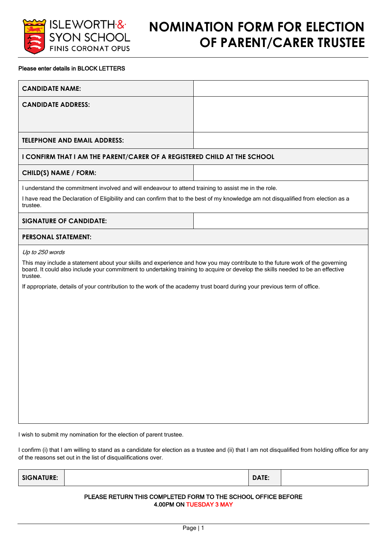

## **NOMINATION FORM FOR ELECTION OF PARENT/CARER TRUSTEE**

## Please enter details in BLOCK LETTERS

| <b>CANDIDATE NAME:</b>                                                                                                                                                                                                                                                                                                                                                                                                     |  |  |
|----------------------------------------------------------------------------------------------------------------------------------------------------------------------------------------------------------------------------------------------------------------------------------------------------------------------------------------------------------------------------------------------------------------------------|--|--|
| <b>CANDIDATE ADDRESS:</b>                                                                                                                                                                                                                                                                                                                                                                                                  |  |  |
|                                                                                                                                                                                                                                                                                                                                                                                                                            |  |  |
| <b>TELEPHONE AND EMAIL ADDRESS:</b>                                                                                                                                                                                                                                                                                                                                                                                        |  |  |
| I CONFIRM THAT I AM THE PARENT/CARER OF A REGISTERED CHILD AT THE SCHOOL                                                                                                                                                                                                                                                                                                                                                   |  |  |
| CHILD(S) NAME / FORM:                                                                                                                                                                                                                                                                                                                                                                                                      |  |  |
| I understand the commitment involved and will endeavour to attend training to assist me in the role.<br>I have read the Declaration of Eligibility and can confirm that to the best of my knowledge am not disqualified from election as a<br>trustee.                                                                                                                                                                     |  |  |
| <b>SIGNATURE OF CANDIDATE:</b>                                                                                                                                                                                                                                                                                                                                                                                             |  |  |
| <b>PERSONAL STATEMENT:</b>                                                                                                                                                                                                                                                                                                                                                                                                 |  |  |
| Up to 250 words<br>This may include a statement about your skills and experience and how you may contribute to the future work of the governing<br>board. It could also include your commitment to undertaking training to acquire or develop the skills needed to be an effective<br>trustee.<br>If appropriate, details of your contribution to the work of the academy trust board during your previous term of office. |  |  |

I confirm (i) that I am willing to stand as a candidate for election as a trustee and (ii) that I am not disqualified from holding office for any of the reasons set out in the list of disqualifications over.

| <b>SIGNATURE:</b><br>DATE: |  |
|----------------------------|--|
|----------------------------|--|

## PLEASE RETURN THIS COMPLETED FORM TO THE SCHOOL OFFICE BEFORE 4.00PM ON TUESDAY 3 MAY